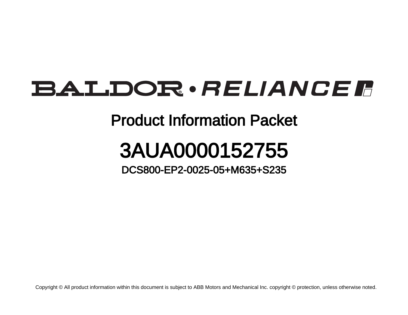## **BALDOR** · RELIANCE F

## Product Information Packet

## 3AUA0000152755

DCS800-EP2-0025-05+M635+S235

Copyright © All product information within this document is subject to ABB Motors and Mechanical Inc. copyright © protection, unless otherwise noted.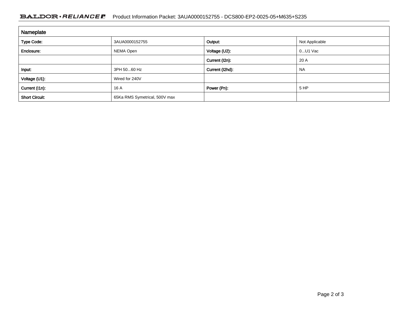## BALDOR · RELIANCE F Product Information Packet: 3AUA0000152755 - DCS800-EP2-0025-05+M635+S235

| Nameplate             |                               |                 |                |
|-----------------------|-------------------------------|-----------------|----------------|
| <b>Type Code:</b>     | 3AUA0000152755                | Output:         | Not Applicable |
| Enclosure:            | NEMA Open                     | Voltage (U2):   | $0U1$ Vac      |
|                       |                               | Current (I2n):  | 20 A           |
| Input:                | 3PH 5060 Hz                   | Current (I2hd): | <b>NA</b>      |
| Voltage (U1):         | Wired for 240V                |                 |                |
| Current (I1n):        | 16 A                          | Power (Pn):     | 5 HP           |
| <b>Short Circuit:</b> | 65Ka RMS Symetrical, 500V max |                 |                |